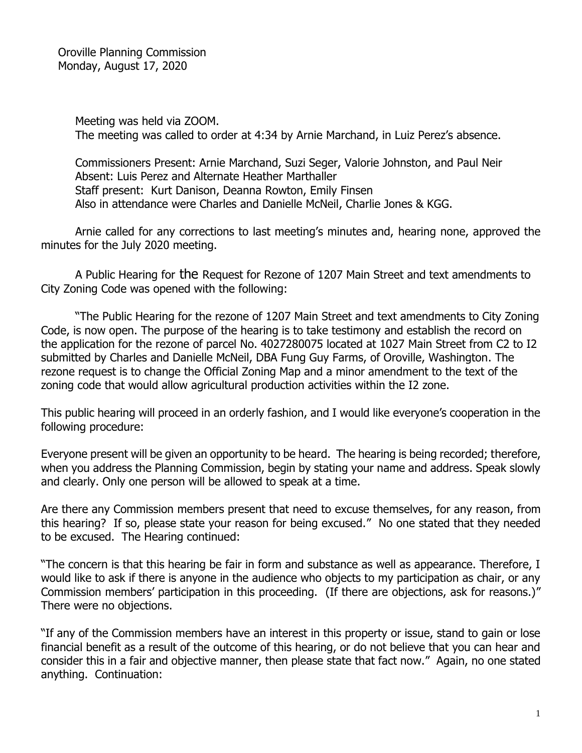Oroville Planning Commission Monday, August 17, 2020

> Meeting was held via ZOOM. The meeting was called to order at 4:34 by Arnie Marchand, in Luiz Perez's absence.

> Commissioners Present: Arnie Marchand, Suzi Seger, Valorie Johnston, and Paul Neir Absent: Luis Perez and Alternate Heather Marthaller Staff present: Kurt Danison, Deanna Rowton, Emily Finsen Also in attendance were Charles and Danielle McNeil, Charlie Jones & KGG.

Arnie called for any corrections to last meeting's minutes and, hearing none, approved the minutes for the July 2020 meeting.

A Public Hearing for the Request for Rezone of 1207 Main Street and text amendments to City Zoning Code was opened with the following:

"The Public Hearing for the rezone of 1207 Main Street and text amendments to City Zoning Code, is now open. The purpose of the hearing is to take testimony and establish the record on the application for the rezone of parcel No. 4027280075 located at 1027 Main Street from C2 to I2 submitted by Charles and Danielle McNeil, DBA Fung Guy Farms, of Oroville, Washington. The rezone request is to change the Official Zoning Map and a minor amendment to the text of the zoning code that would allow agricultural production activities within the I2 zone.

This public hearing will proceed in an orderly fashion, and I would like everyone's cooperation in the following procedure:

Everyone present will be given an opportunity to be heard. The hearing is being recorded; therefore, when you address the Planning Commission, begin by stating your name and address. Speak slowly and clearly. Only one person will be allowed to speak at a time.

Are there any Commission members present that need to excuse themselves, for any reason, from this hearing? If so, please state your reason for being excused." No one stated that they needed to be excused. The Hearing continued:

"The concern is that this hearing be fair in form and substance as well as appearance. Therefore, I would like to ask if there is anyone in the audience who objects to my participation as chair, or any Commission members' participation in this proceeding. (If there are objections, ask for reasons.)" There were no objections.

"If any of the Commission members have an interest in this property or issue, stand to gain or lose financial benefit as a result of the outcome of this hearing, or do not believe that you can hear and consider this in a fair and objective manner, then please state that fact now." Again, no one stated anything. Continuation: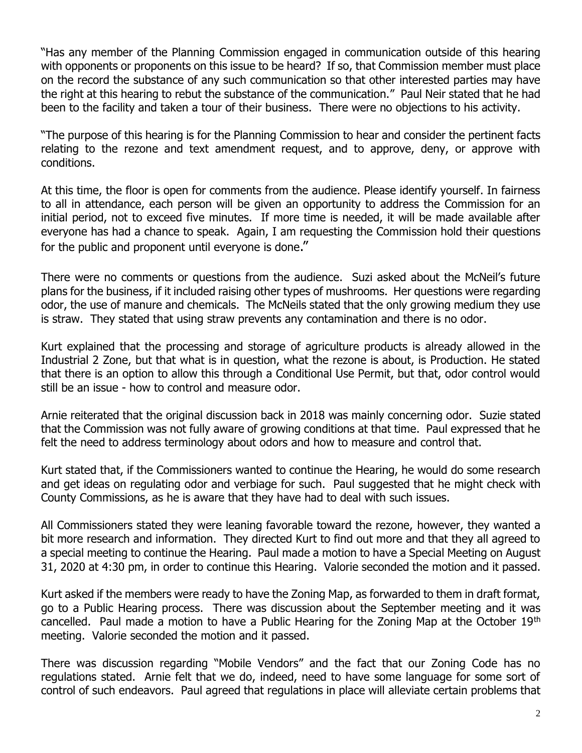"Has any member of the Planning Commission engaged in communication outside of this hearing with opponents or proponents on this issue to be heard? If so, that Commission member must place on the record the substance of any such communication so that other interested parties may have the right at this hearing to rebut the substance of the communication." Paul Neir stated that he had been to the facility and taken a tour of their business. There were no objections to his activity.

"The purpose of this hearing is for the Planning Commission to hear and consider the pertinent facts relating to the rezone and text amendment request, and to approve, deny, or approve with conditions.

At this time, the floor is open for comments from the audience. Please identify yourself. In fairness to all in attendance, each person will be given an opportunity to address the Commission for an initial period, not to exceed five minutes. If more time is needed, it will be made available after everyone has had a chance to speak. Again, I am requesting the Commission hold their questions for the public and proponent until evervone is done."

There were no comments or questions from the audience. Suzi asked about the McNeil's future plans for the business, if it included raising other types of mushrooms. Her questions were regarding odor, the use of manure and chemicals. The McNeils stated that the only growing medium they use is straw. They stated that using straw prevents any contamination and there is no odor.

Kurt explained that the processing and storage of agriculture products is already allowed in the Industrial 2 Zone, but that what is in question, what the rezone is about, is Production. He stated that there is an option to allow this through a Conditional Use Permit, but that, odor control would still be an issue - how to control and measure odor.

Arnie reiterated that the original discussion back in 2018 was mainly concerning odor. Suzie stated that the Commission was not fully aware of growing conditions at that time. Paul expressed that he felt the need to address terminology about odors and how to measure and control that.

Kurt stated that, if the Commissioners wanted to continue the Hearing, he would do some research and get ideas on regulating odor and verbiage for such. Paul suggested that he might check with County Commissions, as he is aware that they have had to deal with such issues.

All Commissioners stated they were leaning favorable toward the rezone, however, they wanted a bit more research and information. They directed Kurt to find out more and that they all agreed to a special meeting to continue the Hearing. Paul made a motion to have a Special Meeting on August 31, 2020 at 4:30 pm, in order to continue this Hearing. Valorie seconded the motion and it passed.

Kurt asked if the members were ready to have the Zoning Map, as forwarded to them in draft format, go to a Public Hearing process. There was discussion about the September meeting and it was cancelled. Paul made a motion to have a Public Hearing for the Zoning Map at the October 19th meeting. Valorie seconded the motion and it passed.

There was discussion regarding "Mobile Vendors" and the fact that our Zoning Code has no regulations stated. Arnie felt that we do, indeed, need to have some language for some sort of control of such endeavors. Paul agreed that regulations in place will alleviate certain problems that